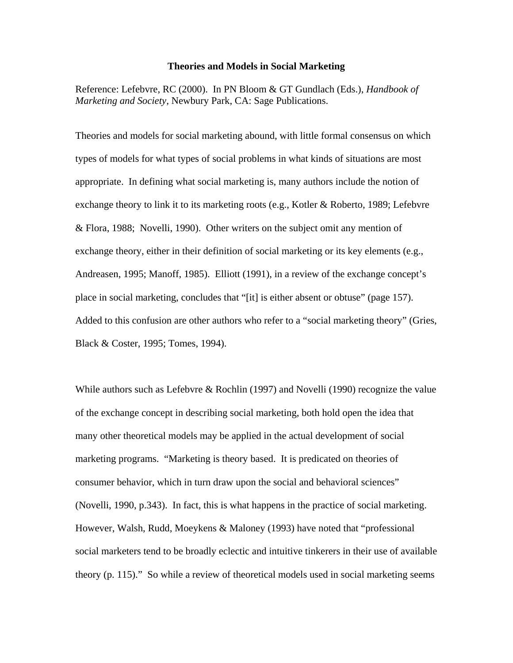#### **Theories and Models in Social Marketing**

Reference: Lefebvre, RC (2000). In PN Bloom & GT Gundlach (Eds.), *Handbook of Marketing and Society*, Newbury Park, CA: Sage Publications.

Theories and models for social marketing abound, with little formal consensus on which types of models for what types of social problems in what kinds of situations are most appropriate. In defining what social marketing is, many authors include the notion of exchange theory to link it to its marketing roots (e.g., Kotler & Roberto, 1989; Lefebvre & Flora, 1988; Novelli, 1990). Other writers on the subject omit any mention of exchange theory, either in their definition of social marketing or its key elements (e.g., Andreasen, 1995; Manoff, 1985). Elliott (1991), in a review of the exchange concept's place in social marketing, concludes that "[it] is either absent or obtuse" (page 157). Added to this confusion are other authors who refer to a "social marketing theory" (Gries, Black & Coster, 1995; Tomes, 1994).

While authors such as Lefebvre & Rochlin (1997) and Novelli (1990) recognize the value of the exchange concept in describing social marketing, both hold open the idea that many other theoretical models may be applied in the actual development of social marketing programs. "Marketing is theory based. It is predicated on theories of consumer behavior, which in turn draw upon the social and behavioral sciences" (Novelli, 1990, p.343). In fact, this is what happens in the practice of social marketing. However, Walsh, Rudd, Moeykens & Maloney (1993) have noted that "professional social marketers tend to be broadly eclectic and intuitive tinkerers in their use of available theory (p. 115)." So while a review of theoretical models used in social marketing seems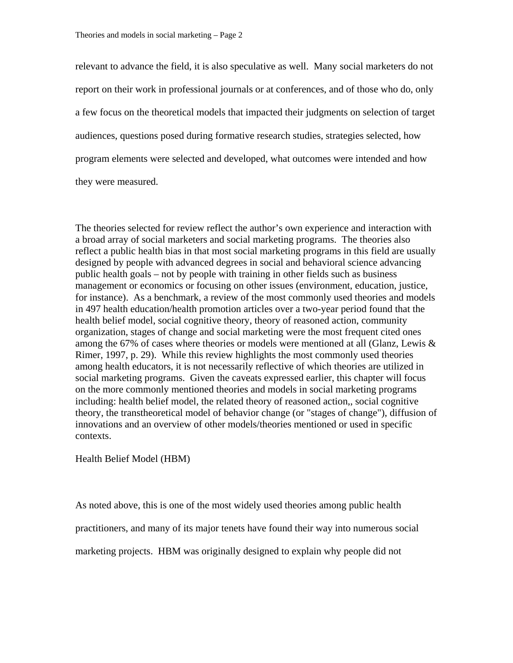relevant to advance the field, it is also speculative as well. Many social marketers do not report on their work in professional journals or at conferences, and of those who do, only a few focus on the theoretical models that impacted their judgments on selection of target audiences, questions posed during formative research studies, strategies selected, how program elements were selected and developed, what outcomes were intended and how they were measured.

The theories selected for review reflect the author's own experience and interaction with a broad array of social marketers and social marketing programs. The theories also reflect a public health bias in that most social marketing programs in this field are usually designed by people with advanced degrees in social and behavioral science advancing public health goals – not by people with training in other fields such as business management or economics or focusing on other issues (environment, education, justice, for instance). As a benchmark, a review of the most commonly used theories and models in 497 health education/health promotion articles over a two-year period found that the health belief model, social cognitive theory, theory of reasoned action, community organization, stages of change and social marketing were the most frequent cited ones among the 67% of cases where theories or models were mentioned at all (Glanz, Lewis & Rimer, 1997, p. 29). While this review highlights the most commonly used theories among health educators, it is not necessarily reflective of which theories are utilized in social marketing programs. Given the caveats expressed earlier, this chapter will focus on the more commonly mentioned theories and models in social marketing programs including: health belief model, the related theory of reasoned action,, social cognitive theory, the transtheoretical model of behavior change (or "stages of change"), diffusion of innovations and an overview of other models/theories mentioned or used in specific contexts.

Health Belief Model (HBM)

As noted above, this is one of the most widely used theories among public health practitioners, and many of its major tenets have found their way into numerous social marketing projects. HBM was originally designed to explain why people did not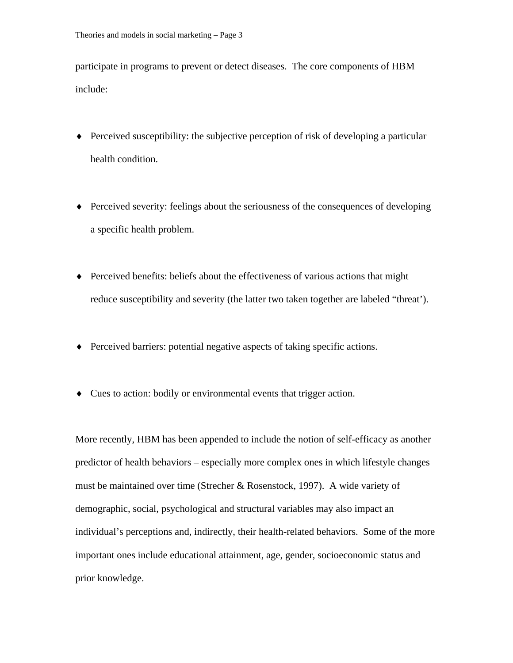participate in programs to prevent or detect diseases. The core components of HBM include:

- ♦ Perceived susceptibility: the subjective perception of risk of developing a particular health condition.
- ♦ Perceived severity: feelings about the seriousness of the consequences of developing a specific health problem.
- ♦ Perceived benefits: beliefs about the effectiveness of various actions that might reduce susceptibility and severity (the latter two taken together are labeled "threat').
- ♦ Perceived barriers: potential negative aspects of taking specific actions.
- ♦ Cues to action: bodily or environmental events that trigger action.

More recently, HBM has been appended to include the notion of self-efficacy as another predictor of health behaviors – especially more complex ones in which lifestyle changes must be maintained over time (Strecher & Rosenstock, 1997). A wide variety of demographic, social, psychological and structural variables may also impact an individual's perceptions and, indirectly, their health-related behaviors. Some of the more important ones include educational attainment, age, gender, socioeconomic status and prior knowledge.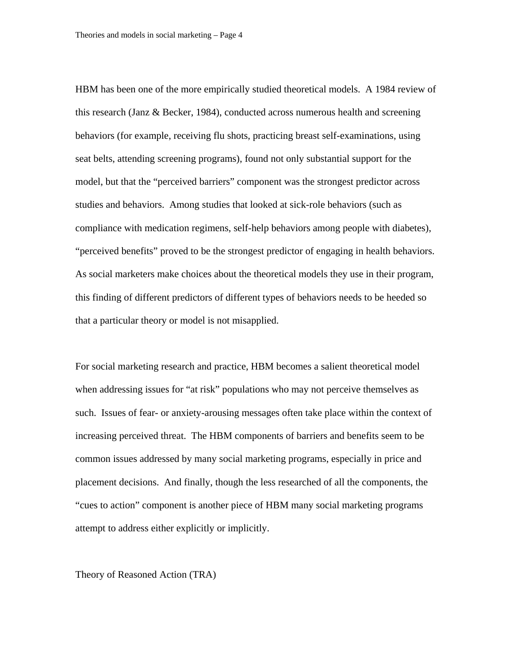HBM has been one of the more empirically studied theoretical models. A 1984 review of this research (Janz & Becker, 1984), conducted across numerous health and screening behaviors (for example, receiving flu shots, practicing breast self-examinations, using seat belts, attending screening programs), found not only substantial support for the model, but that the "perceived barriers" component was the strongest predictor across studies and behaviors. Among studies that looked at sick-role behaviors (such as compliance with medication regimens, self-help behaviors among people with diabetes), "perceived benefits" proved to be the strongest predictor of engaging in health behaviors. As social marketers make choices about the theoretical models they use in their program, this finding of different predictors of different types of behaviors needs to be heeded so that a particular theory or model is not misapplied.

For social marketing research and practice, HBM becomes a salient theoretical model when addressing issues for "at risk" populations who may not perceive themselves as such. Issues of fear- or anxiety-arousing messages often take place within the context of increasing perceived threat. The HBM components of barriers and benefits seem to be common issues addressed by many social marketing programs, especially in price and placement decisions. And finally, though the less researched of all the components, the "cues to action" component is another piece of HBM many social marketing programs attempt to address either explicitly or implicitly.

Theory of Reasoned Action (TRA)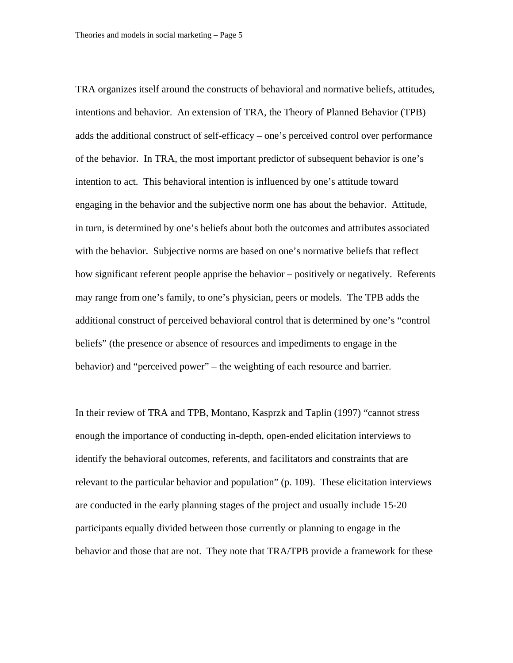TRA organizes itself around the constructs of behavioral and normative beliefs, attitudes, intentions and behavior. An extension of TRA, the Theory of Planned Behavior (TPB) adds the additional construct of self-efficacy – one's perceived control over performance of the behavior. In TRA, the most important predictor of subsequent behavior is one's intention to act. This behavioral intention is influenced by one's attitude toward engaging in the behavior and the subjective norm one has about the behavior. Attitude, in turn, is determined by one's beliefs about both the outcomes and attributes associated with the behavior. Subjective norms are based on one's normative beliefs that reflect how significant referent people apprise the behavior – positively or negatively. Referents may range from one's family, to one's physician, peers or models. The TPB adds the additional construct of perceived behavioral control that is determined by one's "control beliefs" (the presence or absence of resources and impediments to engage in the behavior) and "perceived power" – the weighting of each resource and barrier.

In their review of TRA and TPB, Montano, Kasprzk and Taplin (1997) "cannot stress enough the importance of conducting in-depth, open-ended elicitation interviews to identify the behavioral outcomes, referents, and facilitators and constraints that are relevant to the particular behavior and population" (p. 109). These elicitation interviews are conducted in the early planning stages of the project and usually include 15-20 participants equally divided between those currently or planning to engage in the behavior and those that are not. They note that TRA/TPB provide a framework for these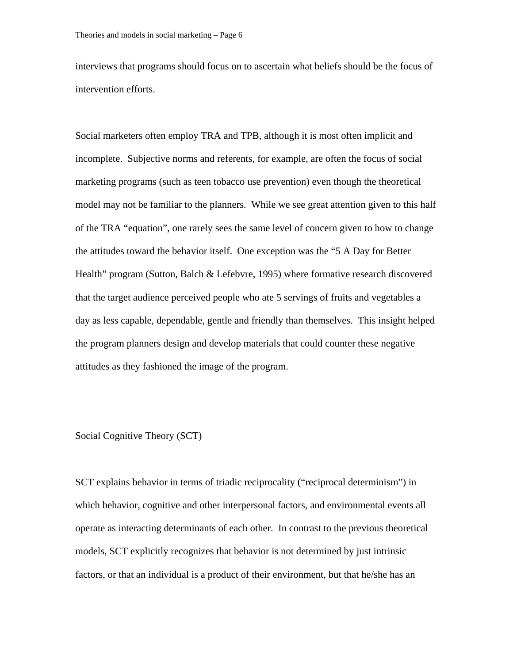interviews that programs should focus on to ascertain what beliefs should be the focus of intervention efforts.

Social marketers often employ TRA and TPB, although it is most often implicit and incomplete. Subjective norms and referents, for example, are often the focus of social marketing programs (such as teen tobacco use prevention) even though the theoretical model may not be familiar to the planners. While we see great attention given to this half of the TRA "equation", one rarely sees the same level of concern given to how to change the attitudes toward the behavior itself. One exception was the "5 A Day for Better Health" program (Sutton, Balch & Lefebvre, 1995) where formative research discovered that the target audience perceived people who ate 5 servings of fruits and vegetables a day as less capable, dependable, gentle and friendly than themselves. This insight helped the program planners design and develop materials that could counter these negative attitudes as they fashioned the image of the program.

## Social Cognitive Theory (SCT)

SCT explains behavior in terms of triadic reciprocality ("reciprocal determinism") in which behavior, cognitive and other interpersonal factors, and environmental events all operate as interacting determinants of each other. In contrast to the previous theoretical models, SCT explicitly recognizes that behavior is not determined by just intrinsic factors, or that an individual is a product of their environment, but that he/she has an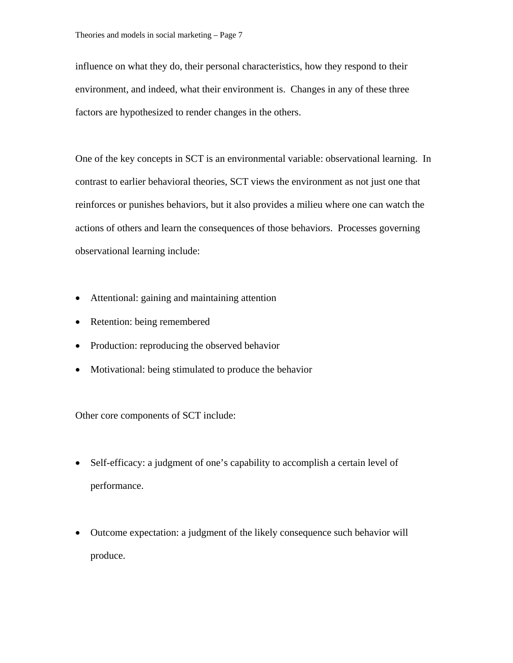influence on what they do, their personal characteristics, how they respond to their environment, and indeed, what their environment is. Changes in any of these three factors are hypothesized to render changes in the others.

One of the key concepts in SCT is an environmental variable: observational learning. In contrast to earlier behavioral theories, SCT views the environment as not just one that reinforces or punishes behaviors, but it also provides a milieu where one can watch the actions of others and learn the consequences of those behaviors. Processes governing observational learning include:

- Attentional: gaining and maintaining attention
- Retention: being remembered
- Production: reproducing the observed behavior
- Motivational: being stimulated to produce the behavior

Other core components of SCT include:

- Self-efficacy: a judgment of one's capability to accomplish a certain level of performance.
- Outcome expectation: a judgment of the likely consequence such behavior will produce.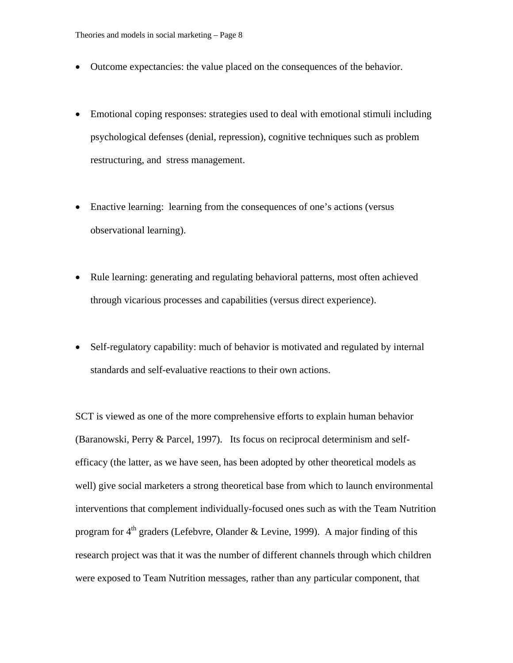- Outcome expectancies: the value placed on the consequences of the behavior.
- Emotional coping responses: strategies used to deal with emotional stimuli including psychological defenses (denial, repression), cognitive techniques such as problem restructuring, and stress management.
- Enactive learning: learning from the consequences of one's actions (versus observational learning).
- Rule learning: generating and regulating behavioral patterns, most often achieved through vicarious processes and capabilities (versus direct experience).
- Self-regulatory capability: much of behavior is motivated and regulated by internal standards and self-evaluative reactions to their own actions.

SCT is viewed as one of the more comprehensive efforts to explain human behavior (Baranowski, Perry & Parcel, 1997). Its focus on reciprocal determinism and selfefficacy (the latter, as we have seen, has been adopted by other theoretical models as well) give social marketers a strong theoretical base from which to launch environmental interventions that complement individually-focused ones such as with the Team Nutrition program for  $4<sup>th</sup>$  graders (Lefebvre, Olander & Levine, 1999). A major finding of this research project was that it was the number of different channels through which children were exposed to Team Nutrition messages, rather than any particular component, that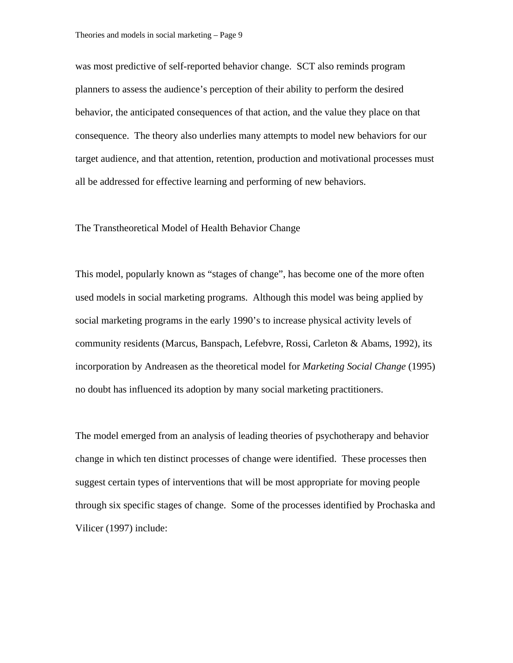was most predictive of self-reported behavior change. SCT also reminds program planners to assess the audience's perception of their ability to perform the desired behavior, the anticipated consequences of that action, and the value they place on that consequence. The theory also underlies many attempts to model new behaviors for our target audience, and that attention, retention, production and motivational processes must all be addressed for effective learning and performing of new behaviors.

## The Transtheoretical Model of Health Behavior Change

This model, popularly known as "stages of change", has become one of the more often used models in social marketing programs. Although this model was being applied by social marketing programs in the early 1990's to increase physical activity levels of community residents (Marcus, Banspach, Lefebvre, Rossi, Carleton & Abams, 1992), its incorporation by Andreasen as the theoretical model for *Marketing Social Change* (1995) no doubt has influenced its adoption by many social marketing practitioners.

The model emerged from an analysis of leading theories of psychotherapy and behavior change in which ten distinct processes of change were identified. These processes then suggest certain types of interventions that will be most appropriate for moving people through six specific stages of change. Some of the processes identified by Prochaska and Vilicer (1997) include: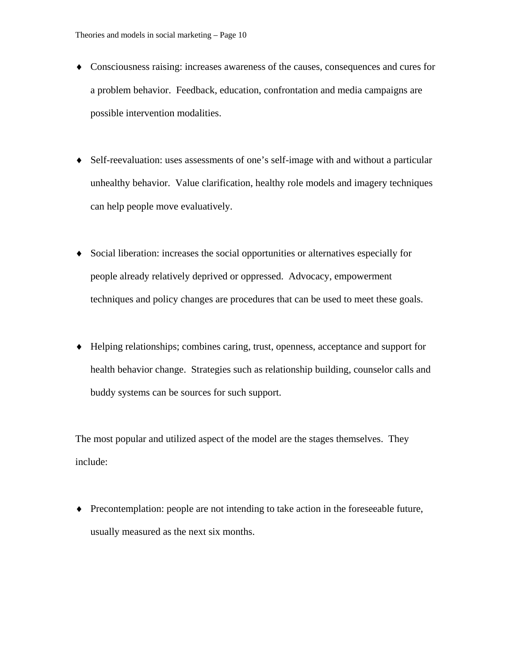- ♦ Consciousness raising: increases awareness of the causes, consequences and cures for a problem behavior. Feedback, education, confrontation and media campaigns are possible intervention modalities.
- ♦ Self-reevaluation: uses assessments of one's self-image with and without a particular unhealthy behavior. Value clarification, healthy role models and imagery techniques can help people move evaluatively.
- ♦ Social liberation: increases the social opportunities or alternatives especially for people already relatively deprived or oppressed. Advocacy, empowerment techniques and policy changes are procedures that can be used to meet these goals.
- ♦ Helping relationships; combines caring, trust, openness, acceptance and support for health behavior change. Strategies such as relationship building, counselor calls and buddy systems can be sources for such support.

The most popular and utilized aspect of the model are the stages themselves. They include:

♦ Precontemplation: people are not intending to take action in the foreseeable future, usually measured as the next six months.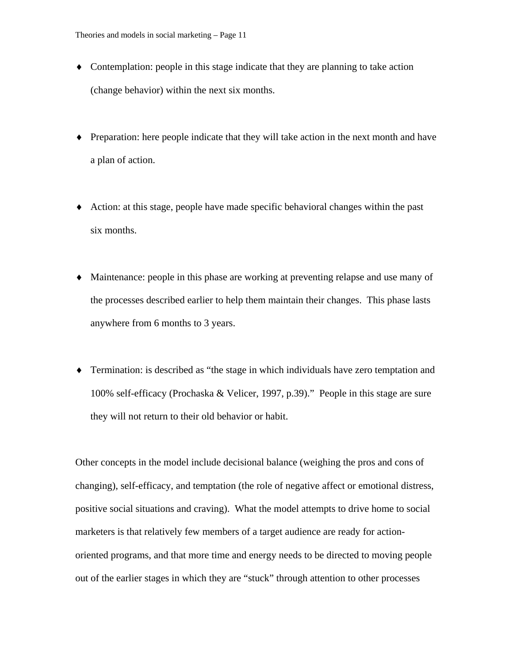- ♦ Contemplation: people in this stage indicate that they are planning to take action (change behavior) within the next six months.
- ♦ Preparation: here people indicate that they will take action in the next month and have a plan of action.
- ♦ Action: at this stage, people have made specific behavioral changes within the past six months.
- ♦ Maintenance: people in this phase are working at preventing relapse and use many of the processes described earlier to help them maintain their changes. This phase lasts anywhere from 6 months to 3 years.
- ♦ Termination: is described as "the stage in which individuals have zero temptation and 100% self-efficacy (Prochaska & Velicer, 1997, p.39)." People in this stage are sure they will not return to their old behavior or habit.

Other concepts in the model include decisional balance (weighing the pros and cons of changing), self-efficacy, and temptation (the role of negative affect or emotional distress, positive social situations and craving). What the model attempts to drive home to social marketers is that relatively few members of a target audience are ready for actionoriented programs, and that more time and energy needs to be directed to moving people out of the earlier stages in which they are "stuck" through attention to other processes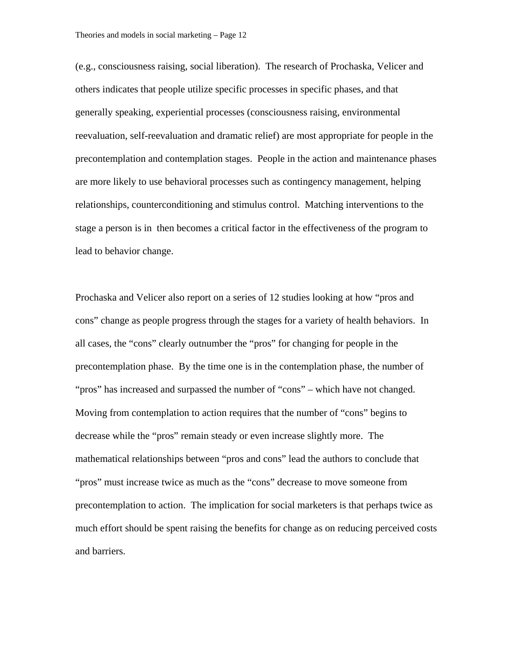(e.g., consciousness raising, social liberation). The research of Prochaska, Velicer and others indicates that people utilize specific processes in specific phases, and that generally speaking, experiential processes (consciousness raising, environmental reevaluation, self-reevaluation and dramatic relief) are most appropriate for people in the precontemplation and contemplation stages. People in the action and maintenance phases are more likely to use behavioral processes such as contingency management, helping relationships, counterconditioning and stimulus control. Matching interventions to the stage a person is in then becomes a critical factor in the effectiveness of the program to lead to behavior change.

Prochaska and Velicer also report on a series of 12 studies looking at how "pros and cons" change as people progress through the stages for a variety of health behaviors. In all cases, the "cons" clearly outnumber the "pros" for changing for people in the precontemplation phase. By the time one is in the contemplation phase, the number of "pros" has increased and surpassed the number of "cons" – which have not changed. Moving from contemplation to action requires that the number of "cons" begins to decrease while the "pros" remain steady or even increase slightly more. The mathematical relationships between "pros and cons" lead the authors to conclude that "pros" must increase twice as much as the "cons" decrease to move someone from precontemplation to action. The implication for social marketers is that perhaps twice as much effort should be spent raising the benefits for change as on reducing perceived costs and barriers.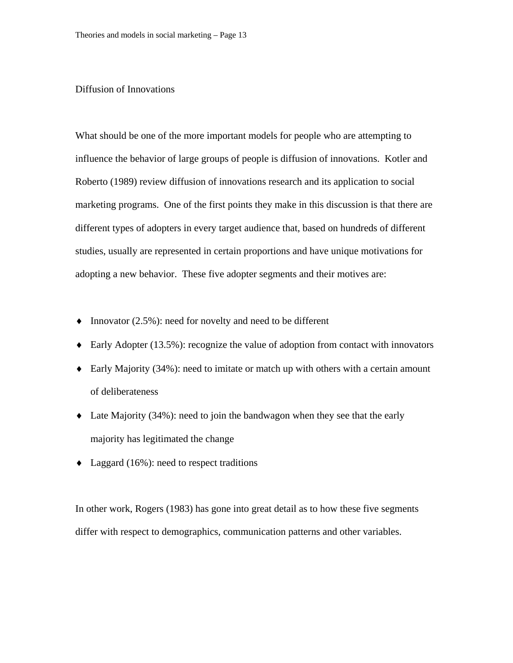# Diffusion of Innovations

What should be one of the more important models for people who are attempting to influence the behavior of large groups of people is diffusion of innovations. Kotler and Roberto (1989) review diffusion of innovations research and its application to social marketing programs. One of the first points they make in this discussion is that there are different types of adopters in every target audience that, based on hundreds of different studies, usually are represented in certain proportions and have unique motivations for adopting a new behavior. These five adopter segments and their motives are:

- ♦ Innovator (2.5%): need for novelty and need to be different
- ♦ Early Adopter (13.5%): recognize the value of adoption from contact with innovators
- ♦ Early Majority (34%): need to imitate or match up with others with a certain amount of deliberateness
- ♦ Late Majority (34%): need to join the bandwagon when they see that the early majority has legitimated the change
- $\triangleleft$  Laggard (16%): need to respect traditions

In other work, Rogers (1983) has gone into great detail as to how these five segments differ with respect to demographics, communication patterns and other variables.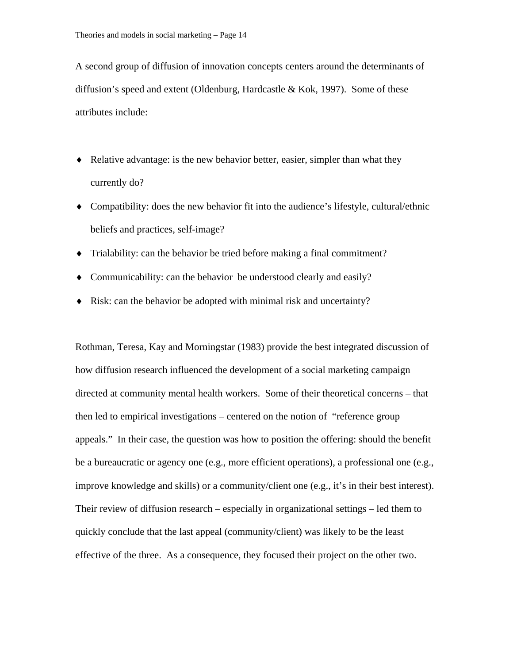A second group of diffusion of innovation concepts centers around the determinants of diffusion's speed and extent (Oldenburg, Hardcastle & Kok, 1997). Some of these attributes include:

- ♦ Relative advantage: is the new behavior better, easier, simpler than what they currently do?
- ♦ Compatibility: does the new behavior fit into the audience's lifestyle, cultural/ethnic beliefs and practices, self-image?
- ♦ Trialability: can the behavior be tried before making a final commitment?
- ♦ Communicability: can the behavior be understood clearly and easily?
- ♦ Risk: can the behavior be adopted with minimal risk and uncertainty?

Rothman, Teresa, Kay and Morningstar (1983) provide the best integrated discussion of how diffusion research influenced the development of a social marketing campaign directed at community mental health workers. Some of their theoretical concerns – that then led to empirical investigations – centered on the notion of "reference group appeals." In their case, the question was how to position the offering: should the benefit be a bureaucratic or agency one (e.g., more efficient operations), a professional one (e.g., improve knowledge and skills) or a community/client one (e.g., it's in their best interest). Their review of diffusion research – especially in organizational settings – led them to quickly conclude that the last appeal (community/client) was likely to be the least effective of the three. As a consequence, they focused their project on the other two.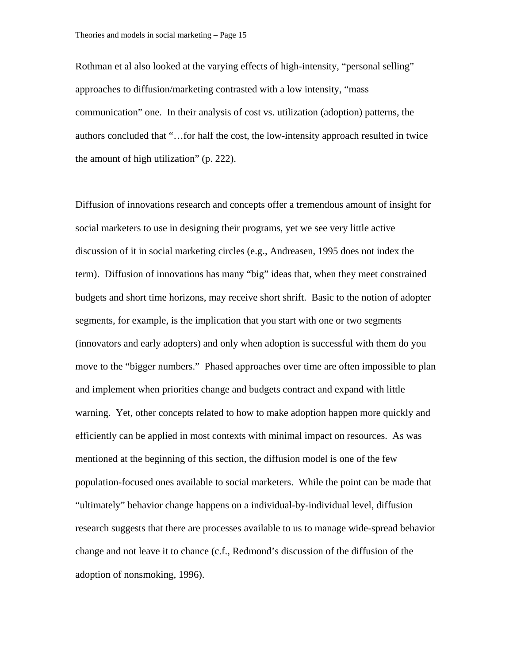Rothman et al also looked at the varying effects of high-intensity, "personal selling" approaches to diffusion/marketing contrasted with a low intensity, "mass communication" one. In their analysis of cost vs. utilization (adoption) patterns, the authors concluded that "…for half the cost, the low-intensity approach resulted in twice the amount of high utilization" (p. 222).

Diffusion of innovations research and concepts offer a tremendous amount of insight for social marketers to use in designing their programs, yet we see very little active discussion of it in social marketing circles (e.g., Andreasen, 1995 does not index the term). Diffusion of innovations has many "big" ideas that, when they meet constrained budgets and short time horizons, may receive short shrift. Basic to the notion of adopter segments, for example, is the implication that you start with one or two segments (innovators and early adopters) and only when adoption is successful with them do you move to the "bigger numbers." Phased approaches over time are often impossible to plan and implement when priorities change and budgets contract and expand with little warning. Yet, other concepts related to how to make adoption happen more quickly and efficiently can be applied in most contexts with minimal impact on resources. As was mentioned at the beginning of this section, the diffusion model is one of the few population-focused ones available to social marketers. While the point can be made that "ultimately" behavior change happens on a individual-by-individual level, diffusion research suggests that there are processes available to us to manage wide-spread behavior change and not leave it to chance (c.f., Redmond's discussion of the diffusion of the adoption of nonsmoking, 1996).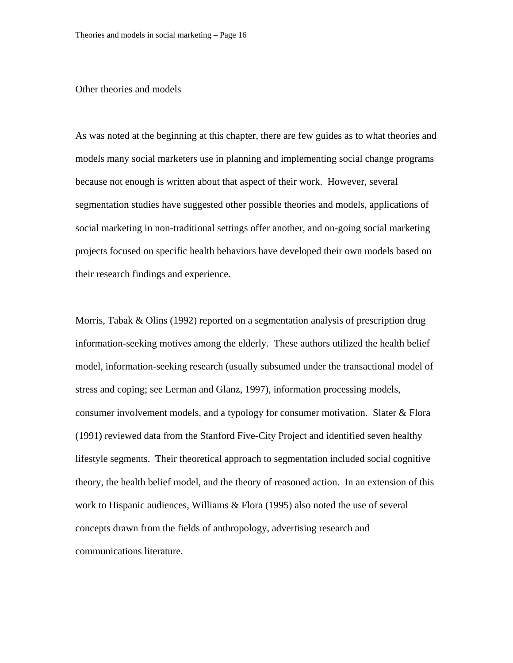### Other theories and models

As was noted at the beginning at this chapter, there are few guides as to what theories and models many social marketers use in planning and implementing social change programs because not enough is written about that aspect of their work. However, several segmentation studies have suggested other possible theories and models, applications of social marketing in non-traditional settings offer another, and on-going social marketing projects focused on specific health behaviors have developed their own models based on their research findings and experience.

Morris, Tabak & Olins (1992) reported on a segmentation analysis of prescription drug information-seeking motives among the elderly. These authors utilized the health belief model, information-seeking research (usually subsumed under the transactional model of stress and coping; see Lerman and Glanz, 1997), information processing models, consumer involvement models, and a typology for consumer motivation. Slater & Flora (1991) reviewed data from the Stanford Five-City Project and identified seven healthy lifestyle segments. Their theoretical approach to segmentation included social cognitive theory, the health belief model, and the theory of reasoned action. In an extension of this work to Hispanic audiences, Williams & Flora (1995) also noted the use of several concepts drawn from the fields of anthropology, advertising research and communications literature.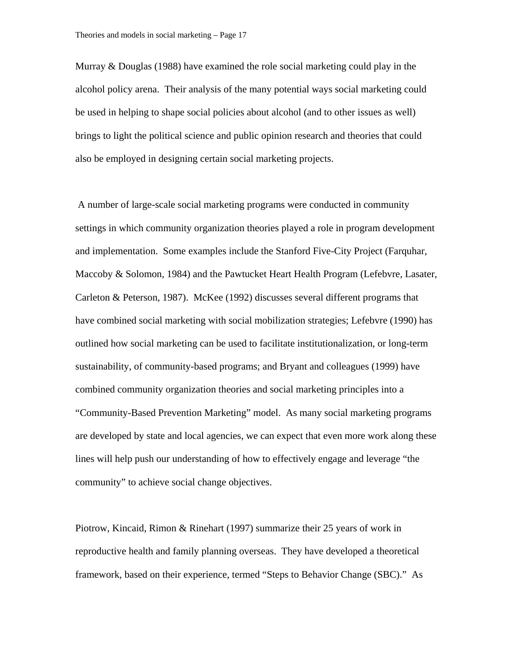Murray & Douglas (1988) have examined the role social marketing could play in the alcohol policy arena. Their analysis of the many potential ways social marketing could be used in helping to shape social policies about alcohol (and to other issues as well) brings to light the political science and public opinion research and theories that could also be employed in designing certain social marketing projects.

 A number of large-scale social marketing programs were conducted in community settings in which community organization theories played a role in program development and implementation. Some examples include the Stanford Five-City Project (Farquhar, Maccoby & Solomon, 1984) and the Pawtucket Heart Health Program (Lefebvre, Lasater, Carleton & Peterson, 1987). McKee (1992) discusses several different programs that have combined social marketing with social mobilization strategies; Lefebvre (1990) has outlined how social marketing can be used to facilitate institutionalization, or long-term sustainability, of community-based programs; and Bryant and colleagues (1999) have combined community organization theories and social marketing principles into a "Community-Based Prevention Marketing" model. As many social marketing programs are developed by state and local agencies, we can expect that even more work along these lines will help push our understanding of how to effectively engage and leverage "the community" to achieve social change objectives.

Piotrow, Kincaid, Rimon & Rinehart (1997) summarize their 25 years of work in reproductive health and family planning overseas. They have developed a theoretical framework, based on their experience, termed "Steps to Behavior Change (SBC)." As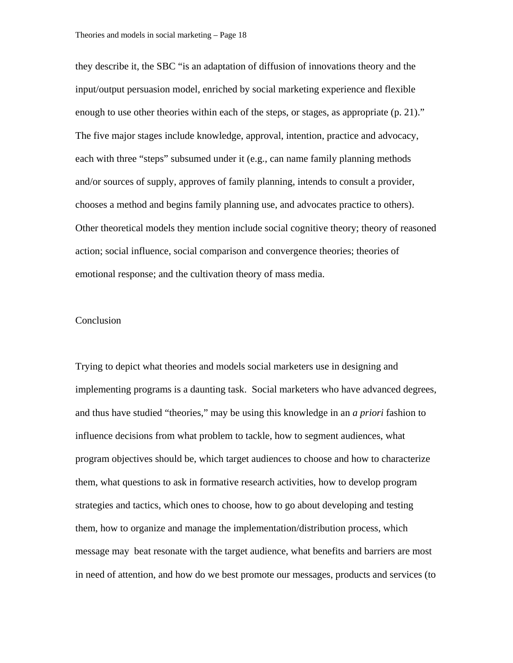they describe it, the SBC "is an adaptation of diffusion of innovations theory and the input/output persuasion model, enriched by social marketing experience and flexible enough to use other theories within each of the steps, or stages, as appropriate (p. 21)." The five major stages include knowledge, approval, intention, practice and advocacy, each with three "steps" subsumed under it (e.g., can name family planning methods and/or sources of supply, approves of family planning, intends to consult a provider, chooses a method and begins family planning use, and advocates practice to others). Other theoretical models they mention include social cognitive theory; theory of reasoned action; social influence, social comparison and convergence theories; theories of emotional response; and the cultivation theory of mass media.

## Conclusion

Trying to depict what theories and models social marketers use in designing and implementing programs is a daunting task. Social marketers who have advanced degrees, and thus have studied "theories," may be using this knowledge in an *a priori* fashion to influence decisions from what problem to tackle, how to segment audiences, what program objectives should be, which target audiences to choose and how to characterize them, what questions to ask in formative research activities, how to develop program strategies and tactics, which ones to choose, how to go about developing and testing them, how to organize and manage the implementation/distribution process, which message may beat resonate with the target audience, what benefits and barriers are most in need of attention, and how do we best promote our messages, products and services (to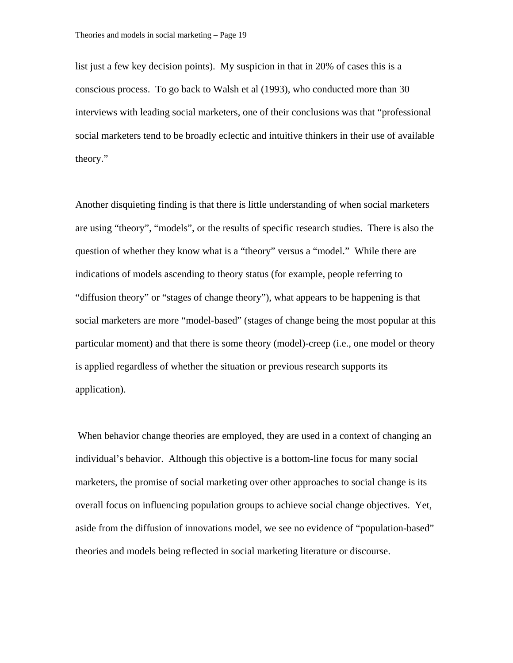list just a few key decision points). My suspicion in that in 20% of cases this is a conscious process. To go back to Walsh et al (1993), who conducted more than 30 interviews with leading social marketers, one of their conclusions was that "professional social marketers tend to be broadly eclectic and intuitive thinkers in their use of available theory."

Another disquieting finding is that there is little understanding of when social marketers are using "theory", "models", or the results of specific research studies. There is also the question of whether they know what is a "theory" versus a "model." While there are indications of models ascending to theory status (for example, people referring to "diffusion theory" or "stages of change theory"), what appears to be happening is that social marketers are more "model-based" (stages of change being the most popular at this particular moment) and that there is some theory (model)-creep (i.e., one model or theory is applied regardless of whether the situation or previous research supports its application).

 When behavior change theories are employed, they are used in a context of changing an individual's behavior. Although this objective is a bottom-line focus for many social marketers, the promise of social marketing over other approaches to social change is its overall focus on influencing population groups to achieve social change objectives. Yet, aside from the diffusion of innovations model, we see no evidence of "population-based" theories and models being reflected in social marketing literature or discourse.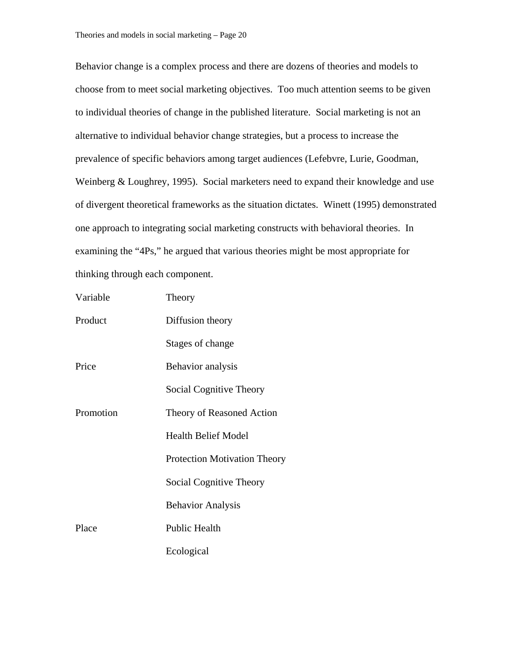Behavior change is a complex process and there are dozens of theories and models to choose from to meet social marketing objectives. Too much attention seems to be given to individual theories of change in the published literature. Social marketing is not an alternative to individual behavior change strategies, but a process to increase the prevalence of specific behaviors among target audiences (Lefebvre, Lurie, Goodman, Weinberg & Loughrey, 1995). Social marketers need to expand their knowledge and use of divergent theoretical frameworks as the situation dictates. Winett (1995) demonstrated one approach to integrating social marketing constructs with behavioral theories. In examining the "4Ps," he argued that various theories might be most appropriate for thinking through each component.

| Variable  | Theory                              |
|-----------|-------------------------------------|
| Product   | Diffusion theory                    |
|           | Stages of change                    |
| Price     | Behavior analysis                   |
|           | Social Cognitive Theory             |
| Promotion | Theory of Reasoned Action           |
|           | <b>Health Belief Model</b>          |
|           | <b>Protection Motivation Theory</b> |
|           | Social Cognitive Theory             |
|           | <b>Behavior Analysis</b>            |
| Place     | <b>Public Health</b>                |
|           | Ecological                          |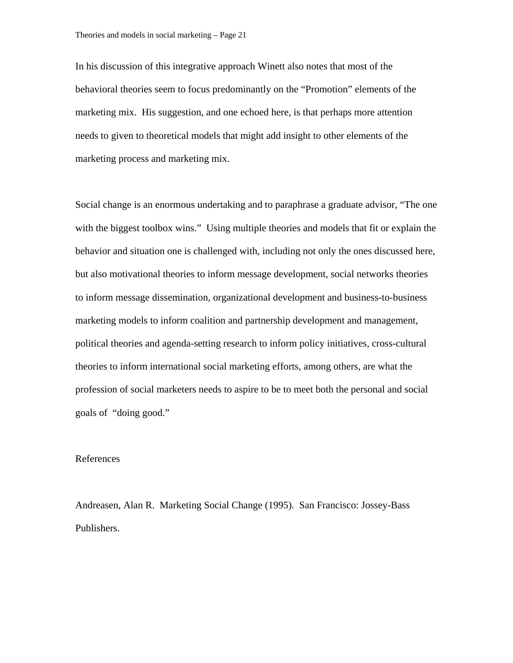In his discussion of this integrative approach Winett also notes that most of the behavioral theories seem to focus predominantly on the "Promotion" elements of the marketing mix. His suggestion, and one echoed here, is that perhaps more attention needs to given to theoretical models that might add insight to other elements of the marketing process and marketing mix.

Social change is an enormous undertaking and to paraphrase a graduate advisor, "The one with the biggest toolbox wins." Using multiple theories and models that fit or explain the behavior and situation one is challenged with, including not only the ones discussed here, but also motivational theories to inform message development, social networks theories to inform message dissemination, organizational development and business-to-business marketing models to inform coalition and partnership development and management, political theories and agenda-setting research to inform policy initiatives, cross-cultural theories to inform international social marketing efforts, among others, are what the profession of social marketers needs to aspire to be to meet both the personal and social goals of "doing good."

## References

Andreasen, Alan R. Marketing Social Change (1995). San Francisco: Jossey-Bass Publishers.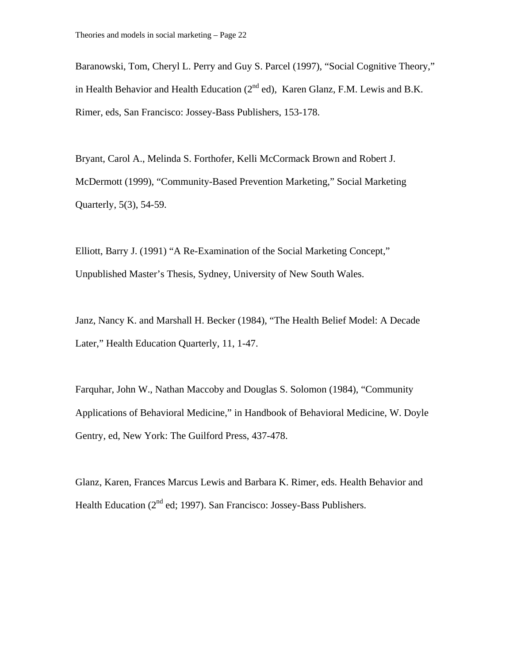Baranowski, Tom, Cheryl L. Perry and Guy S. Parcel (1997), "Social Cognitive Theory," in Health Behavior and Health Education  $(2^{nd}$  ed), Karen Glanz, F.M. Lewis and B.K. Rimer, eds, San Francisco: Jossey-Bass Publishers, 153-178.

Bryant, Carol A., Melinda S. Forthofer, Kelli McCormack Brown and Robert J. McDermott (1999), "Community-Based Prevention Marketing," Social Marketing Quarterly, 5(3), 54-59.

Elliott, Barry J. (1991) "A Re-Examination of the Social Marketing Concept," Unpublished Master's Thesis, Sydney, University of New South Wales.

Janz, Nancy K. and Marshall H. Becker (1984), "The Health Belief Model: A Decade Later," Health Education Quarterly, 11, 1-47.

Farquhar, John W., Nathan Maccoby and Douglas S. Solomon (1984), "Community Applications of Behavioral Medicine," in Handbook of Behavioral Medicine, W. Doyle Gentry, ed, New York: The Guilford Press, 437-478.

Glanz, Karen, Frances Marcus Lewis and Barbara K. Rimer, eds. Health Behavior and Health Education  $(2^{nd}$  ed; 1997). San Francisco: Jossey-Bass Publishers.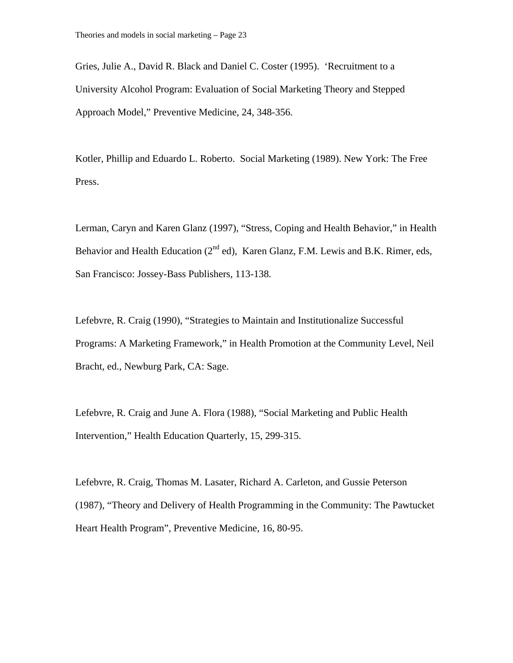Gries, Julie A., David R. Black and Daniel C. Coster (1995). 'Recruitment to a University Alcohol Program: Evaluation of Social Marketing Theory and Stepped Approach Model," Preventive Medicine, 24, 348-356.

Kotler, Phillip and Eduardo L. Roberto. Social Marketing (1989). New York: The Free Press.

Lerman, Caryn and Karen Glanz (1997), "Stress, Coping and Health Behavior," in Health Behavior and Health Education  $(2^{nd}$  ed), Karen Glanz, F.M. Lewis and B.K. Rimer, eds, San Francisco: Jossey-Bass Publishers, 113-138.

Lefebvre, R. Craig (1990), "Strategies to Maintain and Institutionalize Successful Programs: A Marketing Framework," in Health Promotion at the Community Level, Neil Bracht, ed., Newburg Park, CA: Sage.

Lefebvre, R. Craig and June A. Flora (1988), "Social Marketing and Public Health Intervention," Health Education Quarterly, 15, 299-315.

Lefebvre, R. Craig, Thomas M. Lasater, Richard A. Carleton, and Gussie Peterson (1987), "Theory and Delivery of Health Programming in the Community: The Pawtucket Heart Health Program", Preventive Medicine, 16, 80-95.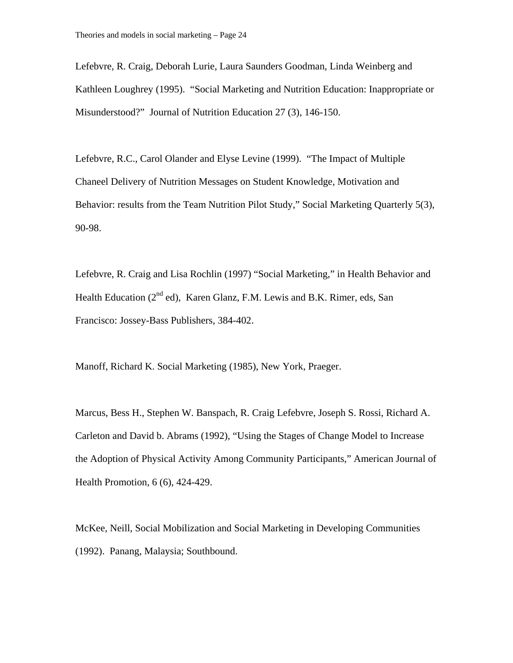Lefebvre, R. Craig, Deborah Lurie, Laura Saunders Goodman, Linda Weinberg and Kathleen Loughrey (1995). "Social Marketing and Nutrition Education: Inappropriate or Misunderstood?" Journal of Nutrition Education 27 (3), 146-150.

Lefebvre, R.C., Carol Olander and Elyse Levine (1999). "The Impact of Multiple Chaneel Delivery of Nutrition Messages on Student Knowledge, Motivation and Behavior: results from the Team Nutrition Pilot Study," Social Marketing Quarterly 5(3), 90-98.

Lefebvre, R. Craig and Lisa Rochlin (1997) "Social Marketing," in Health Behavior and Health Education ( $2<sup>nd</sup>$  ed), Karen Glanz, F.M. Lewis and B.K. Rimer, eds, San Francisco: Jossey-Bass Publishers, 384-402.

Manoff, Richard K. Social Marketing (1985), New York, Praeger.

Marcus, Bess H., Stephen W. Banspach, R. Craig Lefebvre, Joseph S. Rossi, Richard A. Carleton and David b. Abrams (1992), "Using the Stages of Change Model to Increase the Adoption of Physical Activity Among Community Participants," American Journal of Health Promotion, 6 (6), 424-429.

McKee, Neill, Social Mobilization and Social Marketing in Developing Communities (1992). Panang, Malaysia; Southbound.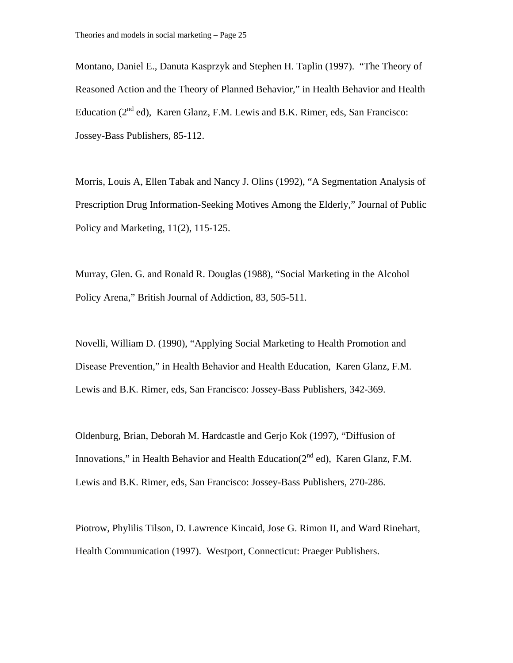Montano, Daniel E., Danuta Kasprzyk and Stephen H. Taplin (1997). "The Theory of Reasoned Action and the Theory of Planned Behavior," in Health Behavior and Health Education  $(2^{nd}$  ed), Karen Glanz, F.M. Lewis and B.K. Rimer, eds, San Francisco: Jossey-Bass Publishers, 85-112.

Morris, Louis A, Ellen Tabak and Nancy J. Olins (1992), "A Segmentation Analysis of Prescription Drug Information-Seeking Motives Among the Elderly," Journal of Public Policy and Marketing, 11(2), 115-125.

Murray, Glen. G. and Ronald R. Douglas (1988), "Social Marketing in the Alcohol Policy Arena," British Journal of Addiction, 83, 505-511.

Novelli, William D. (1990), "Applying Social Marketing to Health Promotion and Disease Prevention," in Health Behavior and Health Education, Karen Glanz, F.M. Lewis and B.K. Rimer, eds, San Francisco: Jossey-Bass Publishers, 342-369.

Oldenburg, Brian, Deborah M. Hardcastle and Gerjo Kok (1997), "Diffusion of Innovations," in Health Behavior and Health Education( $2^{nd}$  ed), Karen Glanz, F.M. Lewis and B.K. Rimer, eds, San Francisco: Jossey-Bass Publishers, 270-286.

Piotrow, Phylilis Tilson, D. Lawrence Kincaid, Jose G. Rimon II, and Ward Rinehart, Health Communication (1997). Westport, Connecticut: Praeger Publishers.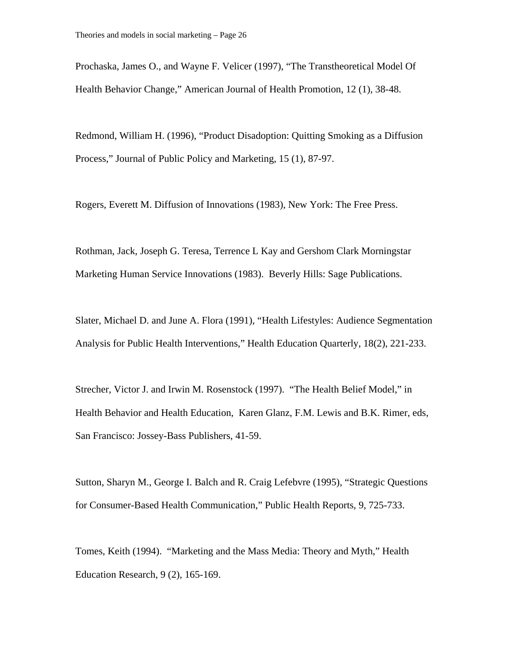Prochaska, James O., and Wayne F. Velicer (1997), "The Transtheoretical Model Of Health Behavior Change," American Journal of Health Promotion, 12 (1), 38-48.

Redmond, William H. (1996), "Product Disadoption: Quitting Smoking as a Diffusion Process," Journal of Public Policy and Marketing, 15 (1), 87-97.

Rogers, Everett M. Diffusion of Innovations (1983), New York: The Free Press.

Rothman, Jack, Joseph G. Teresa, Terrence L Kay and Gershom Clark Morningstar Marketing Human Service Innovations (1983). Beverly Hills: Sage Publications.

Slater, Michael D. and June A. Flora (1991), "Health Lifestyles: Audience Segmentation Analysis for Public Health Interventions," Health Education Quarterly, 18(2), 221-233.

Strecher, Victor J. and Irwin M. Rosenstock (1997). "The Health Belief Model," in Health Behavior and Health Education, Karen Glanz, F.M. Lewis and B.K. Rimer, eds, San Francisco: Jossey-Bass Publishers, 41-59.

Sutton, Sharyn M., George I. Balch and R. Craig Lefebvre (1995), "Strategic Questions for Consumer-Based Health Communication," Public Health Reports, 9, 725-733.

Tomes, Keith (1994). "Marketing and the Mass Media: Theory and Myth," Health Education Research, 9 (2), 165-169.